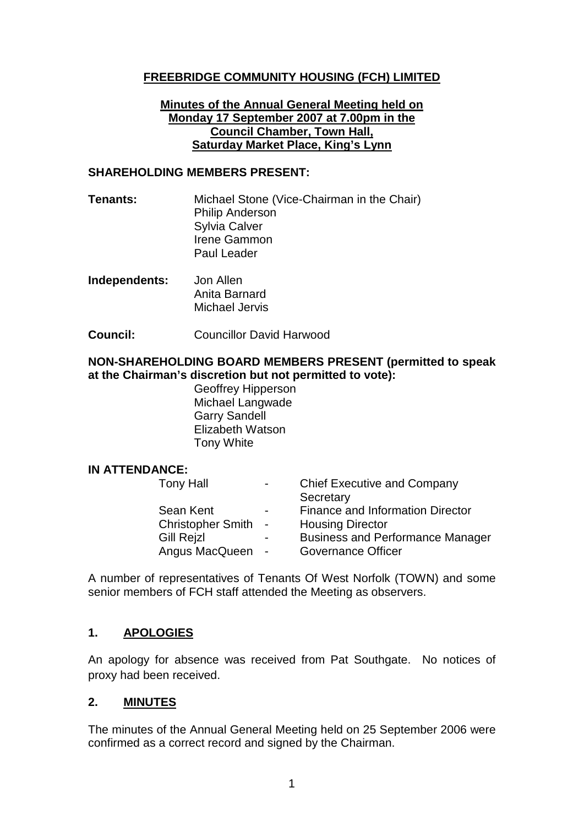### **FREEBRIDGE COMMUNITY HOUSING (FCH) LIMITED**

#### **Minutes of the Annual General Meeting held on Monday 17 September 2007 at 7.00pm in the Council Chamber, Town Hall, Saturday Market Place, King's Lynn**

#### **SHAREHOLDING MEMBERS PRESENT:**

- **Tenants:** Michael Stone (Vice-Chairman in the Chair) Philip Anderson Sylvia Calver Irene Gammon Paul Leader
- **Independents:** Jon Allen Anita Barnard Michael Jervis
- **Council:** Councillor David Harwood

### **NON-SHAREHOLDING BOARD MEMBERS PRESENT (permitted to speak at the Chairman's discretion but not permitted to vote):**

Geoffrey Hipperson Michael Langwade Garry Sandell Elizabeth Watson Tony White

### **IN ATTENDANCE:**

| <b>Finance and Information Director</b><br>Sean Kent<br>$\blacksquare$<br>Christopher Smith -<br><b>Housing Director</b><br><b>Business and Performance Manager</b><br><b>Gill Rejzl</b><br>Angus MacQueen - | <b>Tony Hall</b> | $\blacksquare$ | <b>Chief Executive and Company</b><br>Secretary |
|--------------------------------------------------------------------------------------------------------------------------------------------------------------------------------------------------------------|------------------|----------------|-------------------------------------------------|
|                                                                                                                                                                                                              |                  |                | <b>Governance Officer</b>                       |

A number of representatives of Tenants Of West Norfolk (TOWN) and some senior members of FCH staff attended the Meeting as observers.

### **1. APOLOGIES**

An apology for absence was received from Pat Southgate. No notices of proxy had been received.

### **2. MINUTES**

The minutes of the Annual General Meeting held on 25 September 2006 were confirmed as a correct record and signed by the Chairman.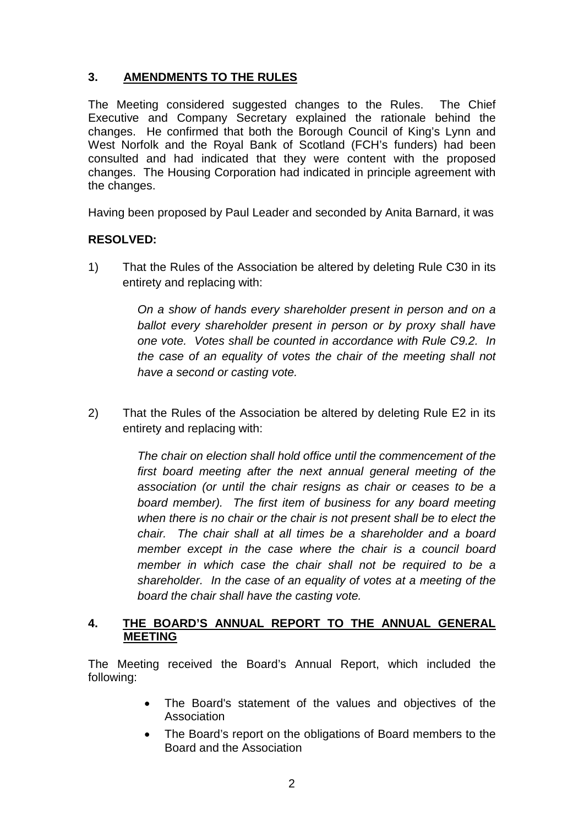# **3. AMENDMENTS TO THE RULES**

The Meeting considered suggested changes to the Rules. The Chief Executive and Company Secretary explained the rationale behind the changes. He confirmed that both the Borough Council of King's Lynn and West Norfolk and the Royal Bank of Scotland (FCH's funders) had been consulted and had indicated that they were content with the proposed changes. The Housing Corporation had indicated in principle agreement with the changes.

Having been proposed by Paul Leader and seconded by Anita Barnard, it was

### **RESOLVED:**

1) That the Rules of the Association be altered by deleting Rule C30 in its entirety and replacing with:

> *On a show of hands every shareholder present in person and on a ballot every shareholder present in person or by proxy shall have one vote. Votes shall be counted in accordance with Rule C9.2. In the case of an equality of votes the chair of the meeting shall not have a second or casting vote.*

2) That the Rules of the Association be altered by deleting Rule E2 in its entirety and replacing with:

> *The chair on election shall hold office until the commencement of the first board meeting after the next annual general meeting of the association (or until the chair resigns as chair or ceases to be a board member). The first item of business for any board meeting when there is no chair or the chair is not present shall be to elect the chair. The chair shall at all times be a shareholder and a board member except in the case where the chair is a council board member in which case the chair shall not be required to be a shareholder. In the case of an equality of votes at a meeting of the board the chair shall have the casting vote.*

### **4. THE BOARD'S ANNUAL REPORT TO THE ANNUAL GENERAL MEETING**

The Meeting received the Board's Annual Report, which included the following:

- The Board's statement of the values and objectives of the Association
- The Board's report on the obligations of Board members to the Board and the Association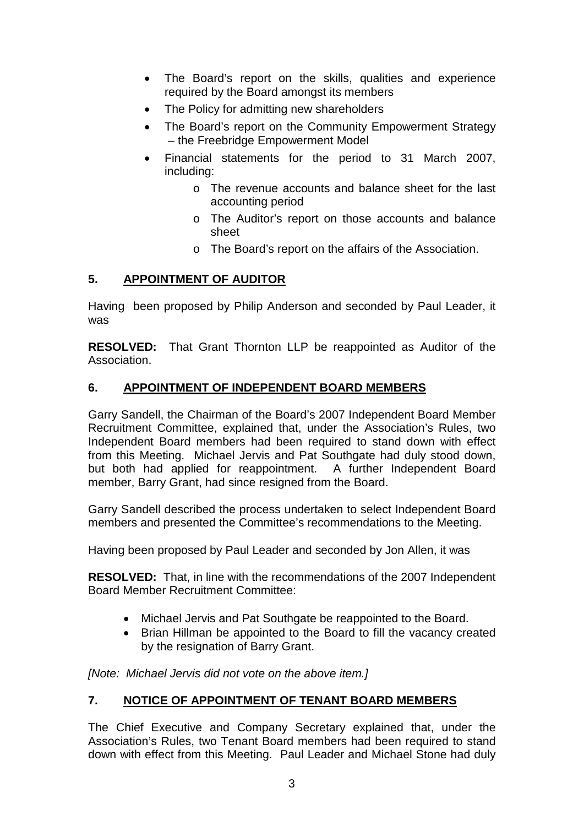- The Board's report on the skills, qualities and experience required by the Board amongst its members
- The Policy for admitting new shareholders
- The Board's report on the Community Empowerment Strategy – the Freebridge Empowerment Model
- Financial statements for the period to 31 March 2007, including:
	- o The revenue accounts and balance sheet for the last accounting period
	- o The Auditor's report on those accounts and balance sheet
	- o The Board's report on the affairs of the Association.

## **5. APPOINTMENT OF AUDITOR**

Having been proposed by Philip Anderson and seconded by Paul Leader, it was

**RESOLVED:** That Grant Thornton LLP be reappointed as Auditor of the Association.

## **6. APPOINTMENT OF INDEPENDENT BOARD MEMBERS**

Garry Sandell, the Chairman of the Board's 2007 Independent Board Member Recruitment Committee, explained that, under the Association's Rules, two Independent Board members had been required to stand down with effect from this Meeting. Michael Jervis and Pat Southgate had duly stood down, but both had applied for reappointment. A further Independent Board member, Barry Grant, had since resigned from the Board.

Garry Sandell described the process undertaken to select Independent Board members and presented the Committee's recommendations to the Meeting.

Having been proposed by Paul Leader and seconded by Jon Allen, it was

**RESOLVED:** That, in line with the recommendations of the 2007 Independent Board Member Recruitment Committee:

- Michael Jervis and Pat Southgate be reappointed to the Board.
- Brian Hillman be appointed to the Board to fill the vacancy created by the resignation of Barry Grant.

*[Note: Michael Jervis did not vote on the above item.]*

# **7. NOTICE OF APPOINTMENT OF TENANT BOARD MEMBERS**

The Chief Executive and Company Secretary explained that, under the Association's Rules, two Tenant Board members had been required to stand down with effect from this Meeting. Paul Leader and Michael Stone had duly